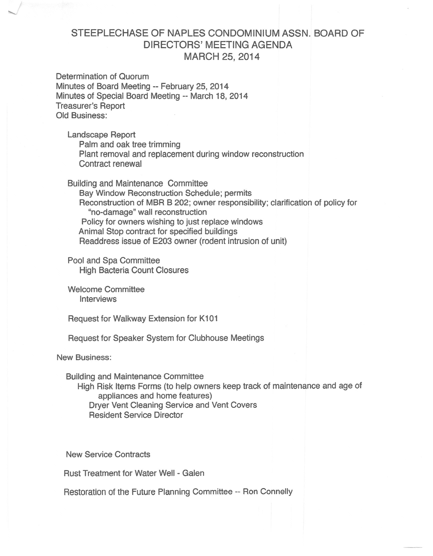## STEEPLECHASE OF NAPLES CONDOMINIUM ASSN. BOARD OF DIRECTORS' MEETING AGENDA MARCH 25, 2014

Determination of Quorum Minutes of Board Meeting -- February 25,2014 Minutes of Special Board Meeting -- March 18, 2014 Treasurer's Report Old Business:

Landscape Report Palm and oak tree trimming Plant removal and replacement during window reconstruction Contract renewal

Building and Maintenance Committee Bay Window Reconstruction Schedule; permits Reconstruction of MBR B 202; owner responsibility; clarification of policy for "no-damage" wall reconstruction Policy for owners wishing to just replace windows Animal Stop contract for specified buildings Readdress issue of E203 owner (rodent intrusion of unit)

Pool and Spa Committee High Bacteria Count Closures

Welcome Committee Interviews

Request for Walkway Extension for K101

Request for Speaker System for Clubhouse Meetings

New Business:

Building and Maintenance Committee High Risk Items Forms (to help owners keep track of maintenance and age of appliances and home features) Dryer Vent Cleaning Service and Vent Covers Resident Service Director

New Service Contracts

Rust Treatment for Water Well- Galen

Restoration of the Future Planning Committee -- Ron Connelly